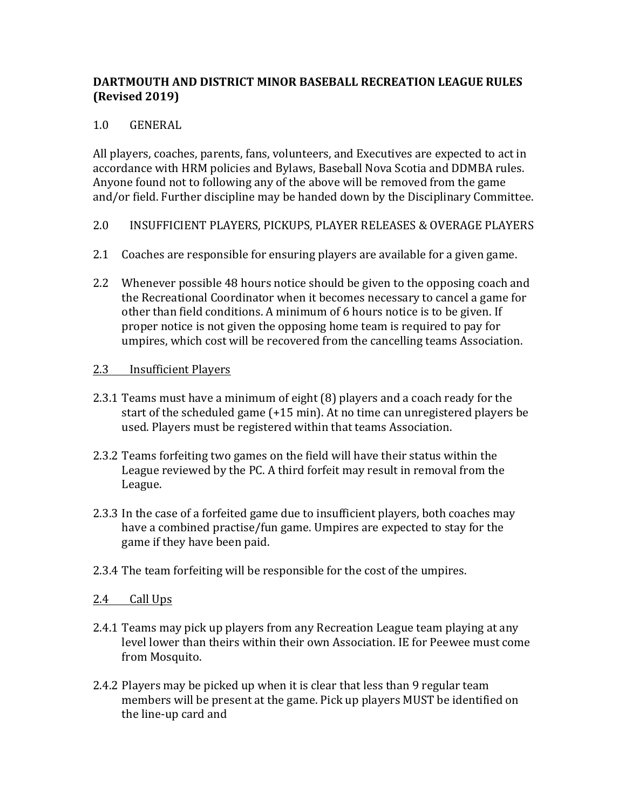# **DARTMOUTH AND DISTRICT MINOR BASEBALL RECREATION LEAGUE RULES (Revised 2019)**

# 1.0 GENERAL

All players, coaches, parents, fans, volunteers, and Executives are expected to act in accordance with HRM policies and Bylaws, Baseball Nova Scotia and DDMBA rules. Anyone found not to following any of the above will be removed from the game and/or field. Further discipline may be handed down by the Disciplinary Committee.

- 2.0 INSUFFICIENT PLAYERS, PICKUPS, PLAYER RELEASES & OVERAGE PLAYERS
- 2.1 Coaches are responsible for ensuring players are available for a given game.
- 2.2 Whenever possible 48 hours notice should be given to the opposing coach and the Recreational Coordinator when it becomes necessary to cancel a game for other than field conditions. A minimum of 6 hours notice is to be given. If proper notice is not given the opposing home team is required to pay for umpires, which cost will be recovered from the cancelling teams Association.

## 2.3 **Insufficient Players**

- 2.3.1 Teams must have a minimum of eight (8) players and a coach ready for the start of the scheduled game  $(+15 \text{ min})$ . At no time can unregistered players be used. Players must be registered within that teams Association.
- 2.3.2 Teams forfeiting two games on the field will have their status within the League reviewed by the PC. A third forfeit may result in removal from the League.
- 2.3.3 In the case of a forfeited game due to insufficient players, both coaches may have a combined practise/fun game. Umpires are expected to stay for the game if they have been paid.
- 2.3.4 The team forfeiting will be responsible for the cost of the umpires.

## 2.4 Call Ups

- 2.4.1 Teams may pick up players from any Recreation League team playing at any level lower than theirs within their own Association. IE for Peewee must come from Mosquito.
- 2.4.2 Players may be picked up when it is clear that less than 9 regular team members will be present at the game. Pick up players MUST be identified on the line-up card and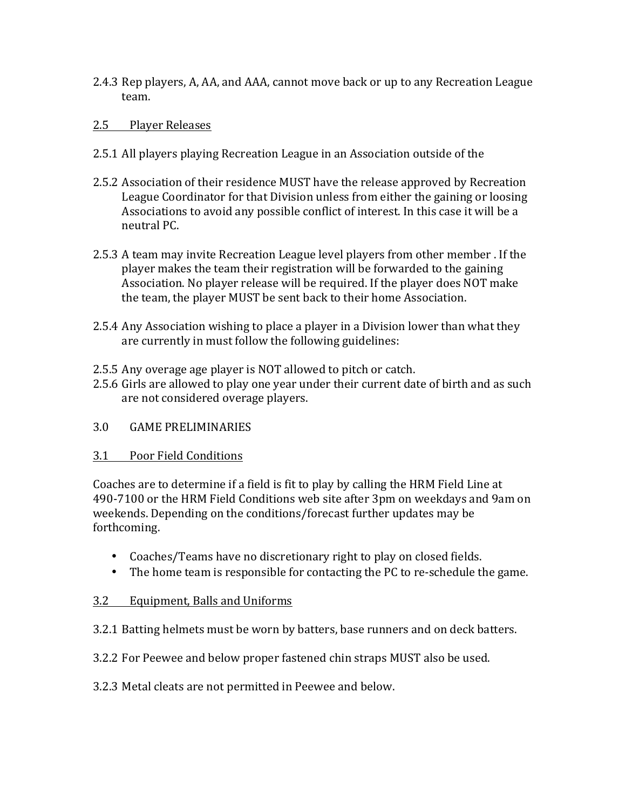2.4.3 Rep players, A, AA, and AAA, cannot move back or up to any Recreation League team. 

## 2.5 Player Releases

- 2.5.1 All players playing Recreation League in an Association outside of the
- 2.5.2 Association of their residence MUST have the release approved by Recreation League Coordinator for that Division unless from either the gaining or loosing Associations to avoid any possible conflict of interest. In this case it will be a neutral PC.
- 2.5.3 A team may invite Recreation League level players from other member. If the player makes the team their registration will be forwarded to the gaining Association. No player release will be required. If the player does NOT make the team, the player MUST be sent back to their home Association.
- 2.5.4 Any Association wishing to place a player in a Division lower than what they are currently in must follow the following guidelines:
- 2.5.5 Any overage age player is NOT allowed to pitch or catch.
- 2.5.6 Girls are allowed to play one year under their current date of birth and as such are not considered overage players.
- 3.0 GAME PRELIMINARIES
- 3.1 Poor Field Conditions

Coaches are to determine if a field is fit to play by calling the HRM Field Line at 490-7100 or the HRM Field Conditions web site after 3pm on weekdays and 9am on weekends. Depending on the conditions/forecast further updates may be forthcoming. 

- Coaches/Teams have no discretionary right to play on closed fields.
- The home team is responsible for contacting the PC to re-schedule the game.

## 3.2 Equipment, Balls and Uniforms

- 3.2.1 Batting helmets must be worn by batters, base runners and on deck batters.
- 3.2.2 For Peewee and below proper fastened chin straps MUST also be used.
- 3.2.3 Metal cleats are not permitted in Peewee and below.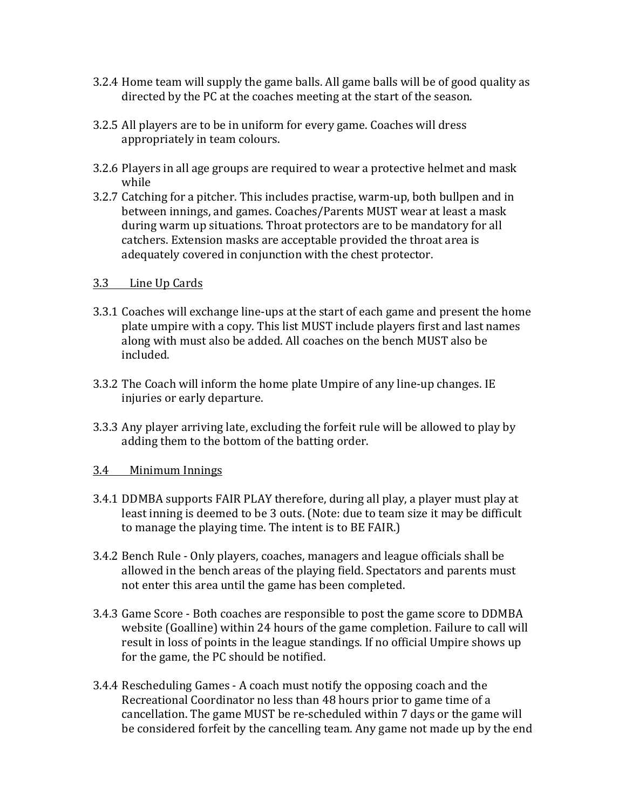- 3.2.4 Home team will supply the game balls. All game balls will be of good quality as directed by the PC at the coaches meeting at the start of the season.
- 3.2.5 All players are to be in uniform for every game. Coaches will dress appropriately in team colours.
- 3.2.6 Players in all age groups are required to wear a protective helmet and mask while
- 3.2.7 Catching for a pitcher. This includes practise, warm-up, both bullpen and in between innings, and games. Coaches/Parents MUST wear at least a mask during warm up situations. Throat protectors are to be mandatory for all catchers. Extension masks are acceptable provided the throat area is adequately covered in conjunction with the chest protector.

#### 3.3 Line Up Cards

- 3.3.1 Coaches will exchange line-ups at the start of each game and present the home plate umpire with a copy. This list MUST include players first and last names along with must also be added. All coaches on the bench MUST also be included.
- 3.3.2 The Coach will inform the home plate Umpire of any line-up changes. IE injuries or early departure.
- 3.3.3 Any player arriving late, excluding the forfeit rule will be allowed to play by adding them to the bottom of the batting order.

## 3.4 Minimum Innings

- 3.4.1 DDMBA supports FAIR PLAY therefore, during all play, a player must play at least inning is deemed to be 3 outs. (Note: due to team size it may be difficult to manage the playing time. The intent is to BE FAIR.)
- 3.4.2 Bench Rule Only players, coaches, managers and league officials shall be allowed in the bench areas of the playing field. Spectators and parents must not enter this area until the game has been completed.
- 3.4.3 Game Score Both coaches are responsible to post the game score to DDMBA website (Goalline) within 24 hours of the game completion. Failure to call will result in loss of points in the league standings. If no official Umpire shows up for the game, the PC should be notified.
- 3.4.4 Rescheduling Games A coach must notify the opposing coach and the Recreational Coordinator no less than 48 hours prior to game time of a cancellation. The game MUST be re-scheduled within 7 days or the game will be considered forfeit by the cancelling team. Any game not made up by the end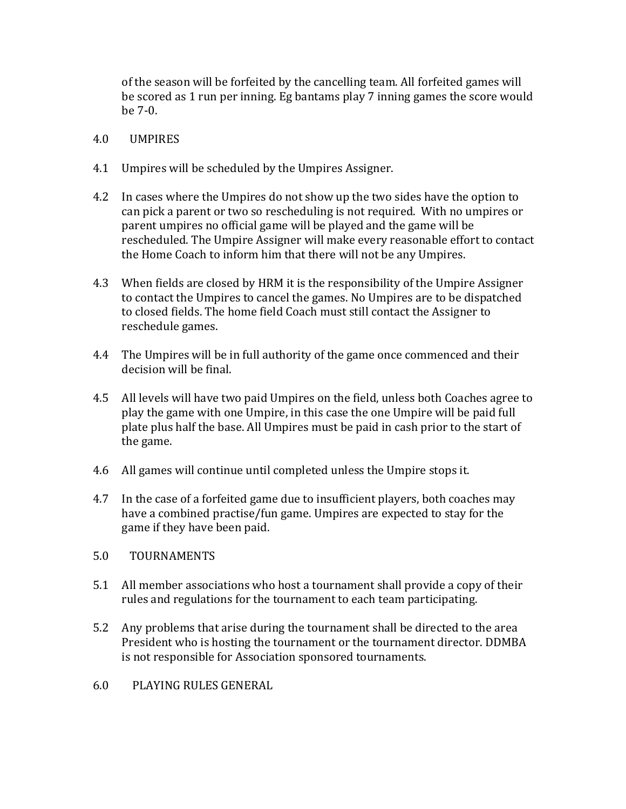of the season will be forfeited by the cancelling team. All forfeited games will be scored as 1 run per inning. Eg bantams play 7 inning games the score would be  $7-0$ .

- 4.0 UMPIRES
- 4.1 Umpires will be scheduled by the Umpires Assigner.
- 4.2 In cases where the Umpires do not show up the two sides have the option to can pick a parent or two so rescheduling is not required. With no umpires or parent umpires no official game will be played and the game will be rescheduled. The Umpire Assigner will make every reasonable effort to contact the Home Coach to inform him that there will not be any Umpires.
- 4.3 When fields are closed by HRM it is the responsibility of the Umpire Assigner to contact the Umpires to cancel the games. No Umpires are to be dispatched to closed fields. The home field Coach must still contact the Assigner to reschedule games.
- 4.4 The Umpires will be in full authority of the game once commenced and their decision will be final.
- 4.5 All levels will have two paid Umpires on the field, unless both Coaches agree to play the game with one Umpire, in this case the one Umpire will be paid full plate plus half the base. All Umpires must be paid in cash prior to the start of the game.
- 4.6 All games will continue until completed unless the Umpire stops it.
- 4.7 In the case of a forfeited game due to insufficient players, both coaches may have a combined practise/fun game. Umpires are expected to stay for the game if they have been paid.
- 5.0 TOURNAMENTS
- 5.1 All member associations who host a tournament shall provide a copy of their rules and regulations for the tournament to each team participating.
- 5.2 Any problems that arise during the tournament shall be directed to the area President who is hosting the tournament or the tournament director. DDMBA is not responsible for Association sponsored tournaments.
- 6.0 PLAYING RULES GENERAL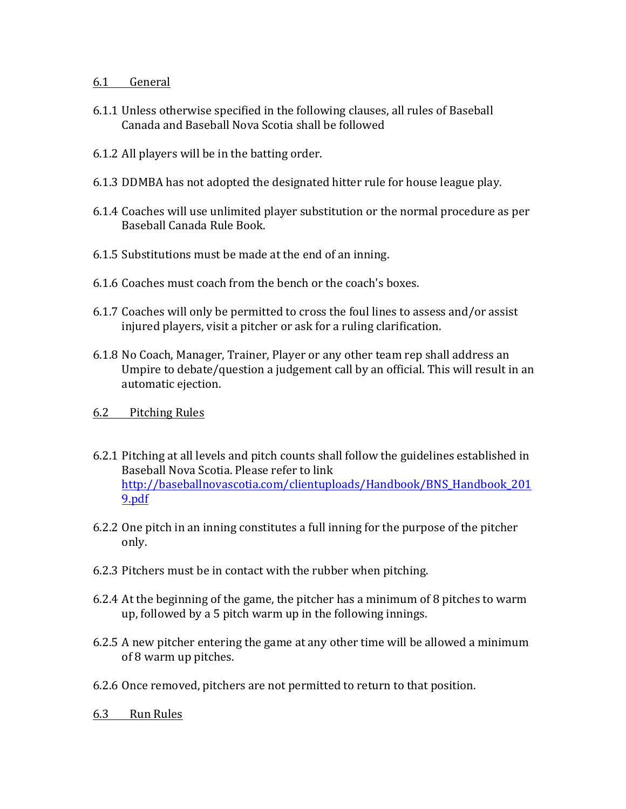# 6.1 General

- 6.1.1 Unless otherwise specified in the following clauses, all rules of Baseball Canada and Baseball Nova Scotia shall be followed
- 6.1.2 All players will be in the batting order.
- 6.1.3 DDMBA has not adopted the designated hitter rule for house league play.
- 6.1.4 Coaches will use unlimited player substitution or the normal procedure as per Baseball Canada Rule Book.
- 6.1.5 Substitutions must be made at the end of an inning.
- 6.1.6 Coaches must coach from the bench or the coach's boxes.
- 6.1.7 Coaches will only be permitted to cross the foul lines to assess and/or assist injured players, visit a pitcher or ask for a ruling clarification.
- 6.1.8 No Coach, Manager, Trainer, Player or any other team rep shall address an Umpire to debate/question a judgement call by an official. This will result in an automatic ejection.
- 6.2 Pitching Rules
- 6.2.1 Pitching at all levels and pitch counts shall follow the guidelines established in Baseball Nova Scotia. Please refer to link http://baseballnovascotia.com/clientuploads/Handbook/BNS\_Handbook\_201 9.pdf
- 6.2.2 One pitch in an inning constitutes a full inning for the purpose of the pitcher only.
- 6.2.3 Pitchers must be in contact with the rubber when pitching.
- 6.2.4 At the beginning of the game, the pitcher has a minimum of 8 pitches to warm up, followed by a 5 pitch warm up in the following innings.
- 6.2.5 A new pitcher entering the game at any other time will be allowed a minimum of 8 warm up pitches.
- 6.2.6 Once removed, pitchers are not permitted to return to that position.
- 6.3 Run Rules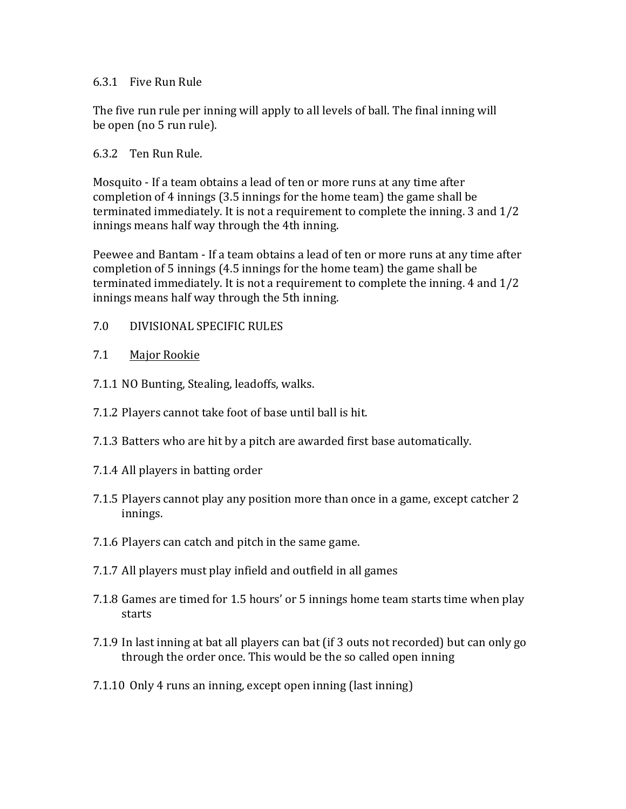#### 6.3.1 Five Run Rule

The five run rule per inning will apply to all levels of ball. The final inning will be open (no 5 run rule).

#### 6.3.2 Ten Run Rule.

Mosquito - If a team obtains a lead of ten or more runs at any time after completion of 4 innings  $(3.5 \text{ innings}$  for the home team) the game shall be terminated immediately. It is not a requirement to complete the inning.  $3$  and  $1/2$ innings means half way through the 4th inning.

Peewee and Bantam - If a team obtains a lead of ten or more runs at any time after completion of 5 innings  $(4.5 \text{ innings}$  for the home team) the game shall be terminated immediately. It is not a requirement to complete the inning.  $4$  and  $1/2$ innings means half way through the 5th inning.

7.0 DIVISIONAL SPECIFIC RULES

#### 7.1 Major Rookie

- 7.1.1 NO Bunting, Stealing, leadoffs, walks.
- 7.1.2 Players cannot take foot of base until ball is hit.
- 7.1.3 Batters who are hit by a pitch are awarded first base automatically.
- 7.1.4 All players in batting order
- 7.1.5 Players cannot play any position more than once in a game, except catcher 2 innings.
- 7.1.6 Players can catch and pitch in the same game.
- 7.1.7 All players must play infield and outfield in all games
- 7.1.8 Games are timed for 1.5 hours' or 5 innings home team starts time when play starts
- 7.1.9 In last inning at bat all players can bat (if 3 outs not recorded) but can only go through the order once. This would be the so called open inning
- 7.1.10 Only 4 runs an inning, except open inning (last inning)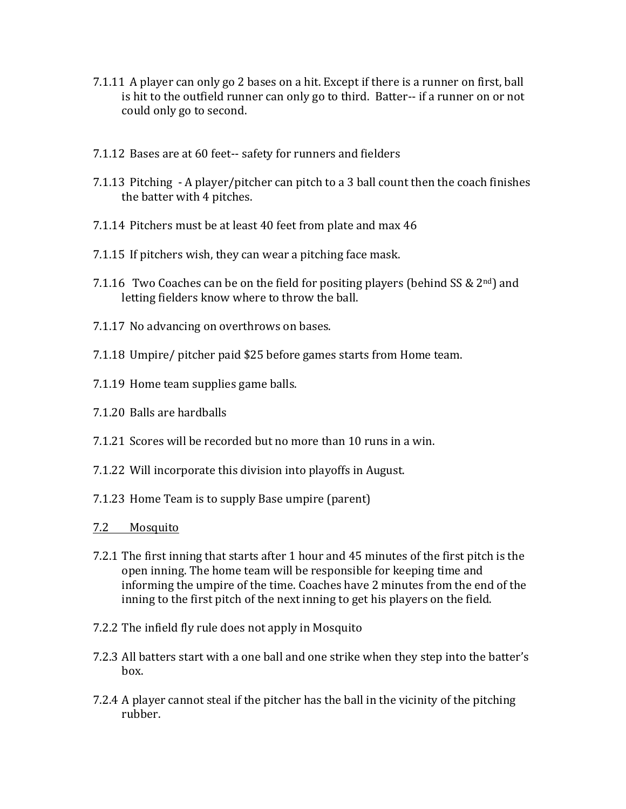- 7.1.11 A player can only go 2 bases on a hit. Except if there is a runner on first, ball is hit to the outfield runner can only go to third. Batter-- if a runner on or not could only go to second.
- 7.1.12 Bases are at 60 feet-- safety for runners and fielders
- 7.1.13 Pitching  $-A$  player/pitcher can pitch to a 3 ball count then the coach finishes the batter with 4 pitches.
- 7.1.14 Pitchers must be at least 40 feet from plate and max 46
- 7.1.15 If pitchers wish, they can wear a pitching face mask.
- 7.1.16 Two Coaches can be on the field for positing players (behind SS &  $2^{nd}$ ) and letting fielders know where to throw the ball.
- 7.1.17 No advancing on overthrows on bases.
- 7.1.18 Umpire/ pitcher paid \$25 before games starts from Home team.
- 7.1.19 Home team supplies game balls.
- 7.1.20 Balls are hardballs
- 7.1.21 Scores will be recorded but no more than 10 runs in a win.
- 7.1.22 Will incorporate this division into playoffs in August.
- 7.1.23 Home Team is to supply Base umpire (parent)
- 7.2 Mosquito
- 7.2.1 The first inning that starts after 1 hour and 45 minutes of the first pitch is the open inning. The home team will be responsible for keeping time and informing the umpire of the time. Coaches have 2 minutes from the end of the inning to the first pitch of the next inning to get his players on the field.
- 7.2.2 The infield fly rule does not apply in Mosquito
- 7.2.3 All batters start with a one ball and one strike when they step into the batter's box.
- 7.2.4 A player cannot steal if the pitcher has the ball in the vicinity of the pitching rubber.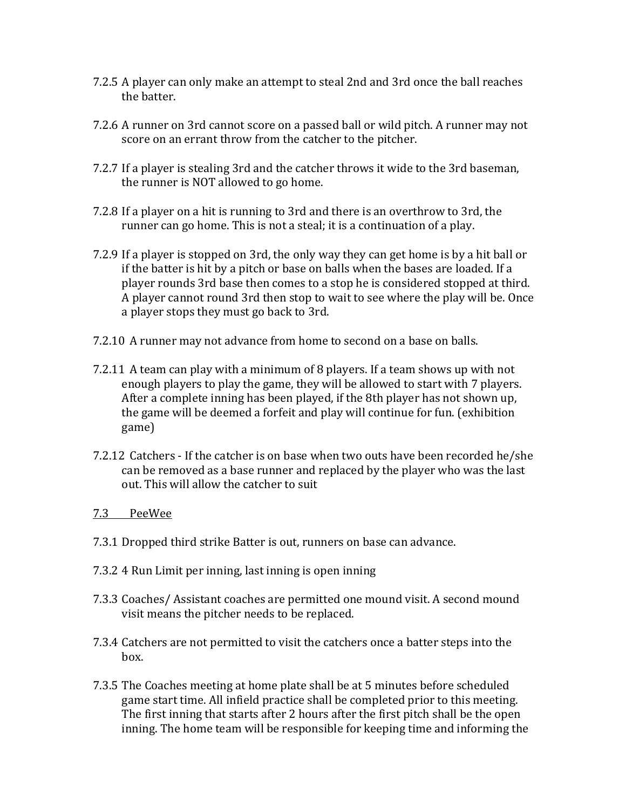- 7.2.5 A player can only make an attempt to steal 2nd and 3rd once the ball reaches the batter.
- 7.2.6 A runner on 3rd cannot score on a passed ball or wild pitch. A runner may not score on an errant throw from the catcher to the pitcher.
- 7.2.7 If a player is stealing 3rd and the catcher throws it wide to the 3rd baseman, the runner is NOT allowed to go home.
- 7.2.8 If a player on a hit is running to 3rd and there is an overthrow to 3rd, the runner can go home. This is not a steal; it is a continuation of a play.
- 7.2.9 If a player is stopped on 3rd, the only way they can get home is by a hit ball or if the batter is hit by a pitch or base on balls when the bases are loaded. If a player rounds 3rd base then comes to a stop he is considered stopped at third. A player cannot round 3rd then stop to wait to see where the play will be. Once a player stops they must go back to 3rd.
- 7.2.10 A runner may not advance from home to second on a base on balls.
- 7.2.11 A team can play with a minimum of 8 players. If a team shows up with not enough players to play the game, they will be allowed to start with 7 players. After a complete inning has been played, if the 8th player has not shown up, the game will be deemed a forfeit and play will continue for fun. (exhibition game)
- 7.2.12 Catchers If the catcher is on base when two outs have been recorded he/she can be removed as a base runner and replaced by the player who was the last out. This will allow the catcher to suit

## 7.3 PeeWee

- 7.3.1 Dropped third strike Batter is out, runners on base can advance.
- 7.3.2 4 Run Limit per inning, last inning is open inning
- 7.3.3 Coaches/ Assistant coaches are permitted one mound visit. A second mound visit means the pitcher needs to be replaced.
- 7.3.4 Catchers are not permitted to visit the catchers once a batter steps into the box.
- 7.3.5 The Coaches meeting at home plate shall be at 5 minutes before scheduled game start time. All infield practice shall be completed prior to this meeting. The first inning that starts after 2 hours after the first pitch shall be the open inning. The home team will be responsible for keeping time and informing the